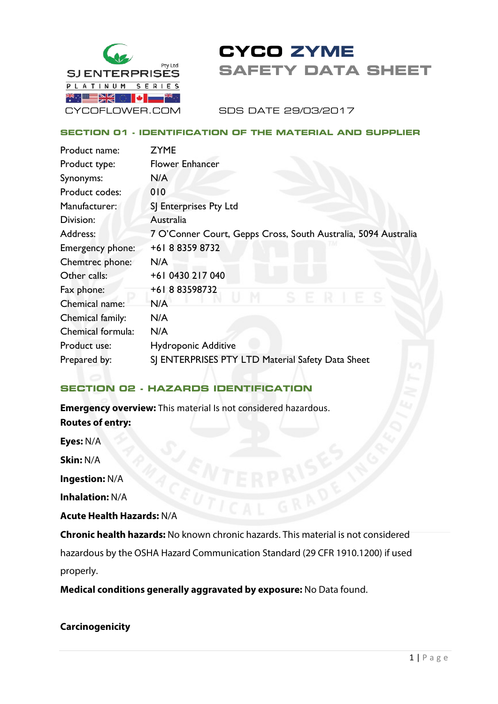

# **CYCO ZYME SAFETY DATA SHEET**

SDS DATE 29/03/2017

#### **SECTION 01 - IDENTIFICATION OF THE MATERIAL AND SUPPLIER**

| Product name:     | <b>ZYME</b>                                                    |
|-------------------|----------------------------------------------------------------|
| Product type:     | <b>Flower Enhancer</b>                                         |
| Synonyms:         | N/A                                                            |
| Product codes:    | 010                                                            |
| Manufacturer:     | SJ Enterprises Pty Ltd                                         |
| Division:         | Australia                                                      |
| Address:          | 7 O'Conner Court, Gepps Cross, South Australia, 5094 Australia |
| Emergency phone:  | +61 8 8359 8732                                                |
| Chemtrec phone:   | N/A                                                            |
| Other calls:      | +61 0430 217 040                                               |
| Fax phone:        | +61883598732                                                   |
| Chemical name:    | N/A                                                            |
| Chemical family:  | N/A                                                            |
| Chemical formula: | N/A                                                            |
| Product use:      | <b>Hydroponic Additive</b>                                     |
| Prepared by:      | SJ ENTERPRISES PTY LTD Material Safety Data Sheet              |

# **SECTION 02 - HAZARDS IDENTIFICATION**

**Emergency overview:** This material Is not considered hazardous. **Routes of entry: Eyes:** N/A **Skin:** N/A

**Ingestion:** N/A

**Inhalation:** N/A

**Acute Health Hazards:** N/A

**Chronic health hazards:** No known chronic hazards. This material is not considered hazardous by the OSHA Hazard Communication Standard (29 CFR 1910.1200) if used properly.

**Medical conditions generally aggravated by exposure:** No Data found.

# **Carcinogenicity**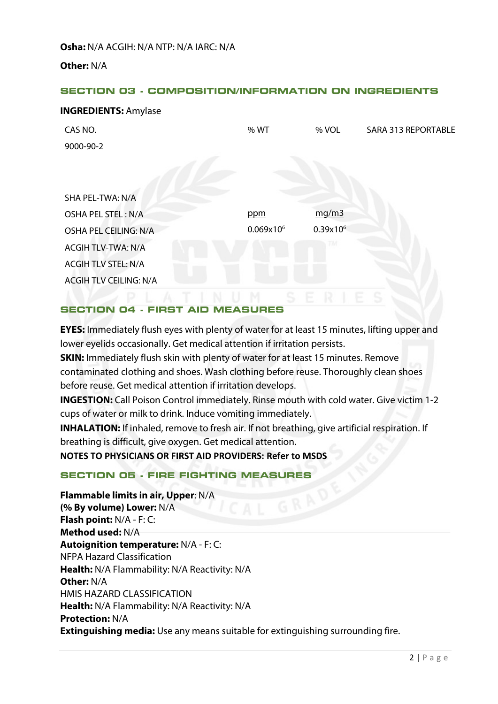**Osha:** N/A ACGIH: N/A NTP: N/A IARC: N/A

**Other:** N/A

**INGREDIENTS:** Amylase

## **SECTION 03 - COMPOSITION/INFORMATION ON INGREDIENTS**

| <b>INGREDIENTS:</b> Amylase   |              |               |                            |
|-------------------------------|--------------|---------------|----------------------------|
| CAS NO.                       | % WT         | $%$ VOL       | <b>SARA 313 REPORTABLE</b> |
| 9000-90-2                     |              |               |                            |
|                               |              |               |                            |
|                               |              |               |                            |
| SHA PEL-TWA: N/A              |              |               |                            |
| OSHA PEL STEL: N/A            | ppm          | mg/m3         |                            |
| OSHA PEL CEILING: N/A         | $0.069x10^6$ | $0.39x10^{6}$ |                            |
| <b>ACGIH TLV-TWA: N/A</b>     |              | nи            |                            |
| <b>ACGIH TLV STEL: N/A</b>    |              |               |                            |
| <b>ACGIH TLV CEILING: N/A</b> |              |               |                            |

#### **SECTION 04 - FIRST AID MEASURES**

**EYES:** Immediately flush eyes with plenty of water for at least 15 minutes, lifting upper and lower eyelids occasionally. Get medical attention if irritation persists.

**SKIN:** Immediately flush skin with plenty of water for at least 15 minutes. Remove contaminated clothing and shoes. Wash clothing before reuse. Thoroughly clean shoes before reuse. Get medical attention if irritation develops.

**INGESTION:** Call Poison Control immediately. Rinse mouth with cold water. Give victim 1-2 cups of water or milk to drink. Induce vomiting immediately.

**INHALATION:** If inhaled, remove to fresh air. If not breathing, give artificial respiration. If breathing is difficult, give oxygen. Get medical attention.

**NOTES TO PHYSICIANS OR FIRST AID PROVIDERS: Refer to MSDS**

# **SECTION 05 - FIRE FIGHTING MEASURES**

**Flammable limits in air, Upper**: N/A **(% By volume) Lower:** N/A **Flash point:** N/A - F: C: **Method used:** N/A **Autoignition temperature:** N/A - F: C: NFPA Hazard Classification **Health:** N/A Flammability: N/A Reactivity: N/A **Other:** N/A HMIS HAZARD CLASSIFICATION **Health:** N/A Flammability: N/A Reactivity: N/A **Protection:** N/A **Extinguishing media:** Use any means suitable for extinguishing surrounding fire.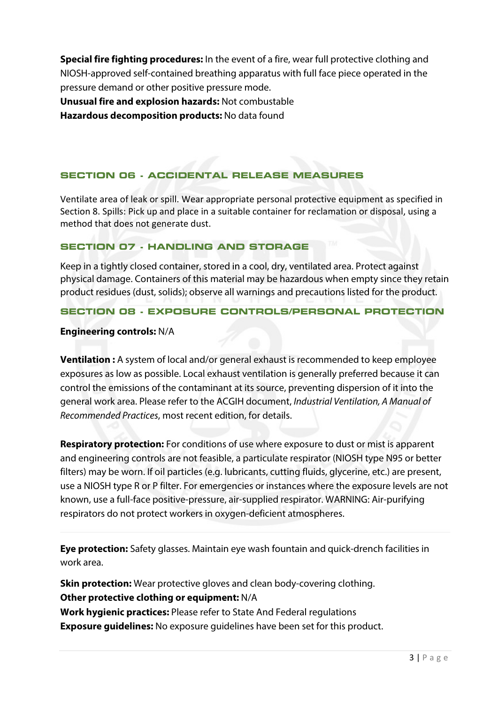**Special fire fighting procedures:** In the event of a fire, wear full protective clothing and NIOSH-approved self-contained breathing apparatus with full face piece operated in the pressure demand or other positive pressure mode.

**Unusual fire and explosion hazards:** Not combustable

**Hazardous decomposition products:** No data found

# **SECTION 06 - ACCIDENTAL RELEASE MEASURES**

Ventilate area of leak or spill. Wear appropriate personal protective equipment as specified in Section 8. Spills: Pick up and place in a suitable container for reclamation or disposal, using a method that does not generate dust.

# **SECTION 07 - HANDLING AND STORAGE**

Keep in a tightly closed container, stored in a cool, dry, ventilated area. Protect against physical damage. Containers of this material may be hazardous when empty since they retain product residues (dust, solids); observe all warnings and precautions listed for the product.

# **SECTION 08 - EXPOSURE CONTROLS/PERSONAL PROTECTION**

# **Engineering controls:** N/A

**Ventilation :** A system of local and/or general exhaust is recommended to keep employee exposures as low as possible. Local exhaust ventilation is generally preferred because it can control the emissions of the contaminant at its source, preventing dispersion of it into the general work area. Please refer to the ACGIH document, *Industrial Ventilation, A Manual of Recommended Practices*, most recent edition, for details.

**Respiratory protection:** For conditions of use where exposure to dust or mist is apparent and engineering controls are not feasible, a particulate respirator (NIOSH type N95 or better filters) may be worn. If oil particles (e.g. lubricants, cutting fluids, glycerine, etc.) are present, use a NIOSH type R or P filter. For emergencies or instances where the exposure levels are not known, use a full-face positive-pressure, air-supplied respirator. WARNING: Air-purifying respirators do not protect workers in oxygen-deficient atmospheres.

**Eye protection:** Safety glasses. Maintain eye wash fountain and quick-drench facilities in work area.

**Skin protection:** Wear protective gloves and clean body-covering clothing. **Other protective clothing or equipment:** N/A **Work hygienic practices:** Please refer to State And Federal regulations **Exposure guidelines:** No exposure guidelines have been set for this product.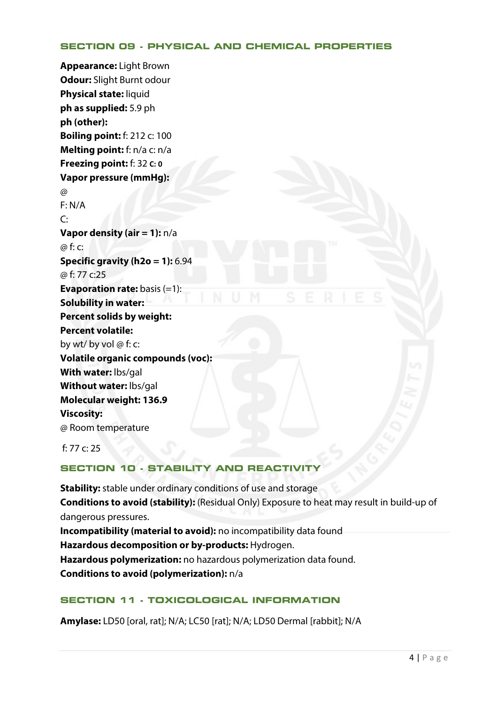#### **SECTION 09 - PHYSICAL AND CHEMICAL PROPERTIES**

**Appearance:** Light Brown **Odour:** Slight Burnt odour **Physical state:** liquid **ph as supplied:** 5.9 ph **ph (other): Boiling point:** f: 212 c: 100 **Melting point:** f: n/a c: n/a **Freezing point:** f: 32 **C: 0 Vapor pressure (mmHg):**  @ F: N/A  $\overline{C}$ : **Vapor density (air = 1):** n/a @ f: c: **Specific gravity (h2o = 1):** 6.94 @ f: 77 c:25 **Evaporation rate:** basis (=1): **Solubility in water: Percent solids by weight: Percent volatile:** by wt/ by vol  $\omega$  f: c: **Volatile organic compounds (voc): With water:** lbs/gal **Without water:** lbs/gal **Molecular weight: 136.9 Viscosity:** @ Room temperature

f: 77 c: 25

# **SECTION 10 - STABILITY AND REACTIVITY**

**Stability:** stable under ordinary conditions of use and storage **Conditions to avoid (stability):** (Residual Only) Exposure to heat may result in build-up of dangerous pressures. **Incompatibility (material to avoid):** no incompatibility data found **Hazardous decomposition or by-products:** Hydrogen. **Hazardous polymerization:** no hazardous polymerization data found. **Conditions to avoid (polymerization):** n/a

# **SECTION 11 - TOXICOLOGICAL INFORMATION**

**Amylase:** LD50 [oral, rat]; N/A; LC50 [rat]; N/A; LD50 Dermal [rabbit]; N/A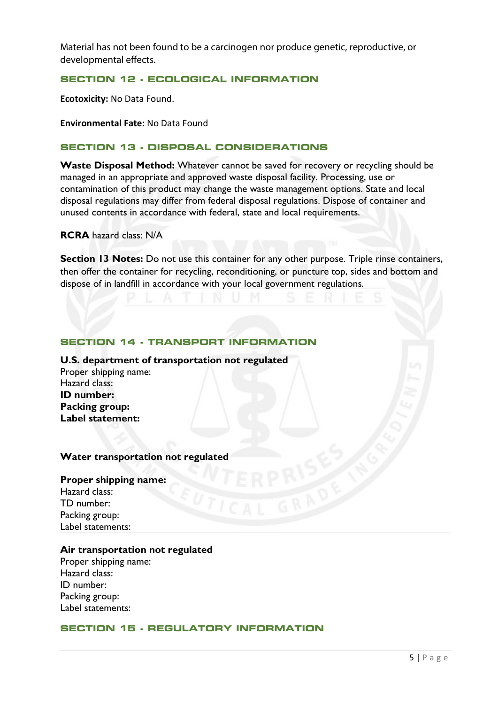Material has not been found to be a carcinogen nor produce genetic, reproductive, or developmental effects.

**SECTION 12 - ECOLOGICAL INFORMATION** 

**Ecotoxicity:** No Data Found.

**Environmental Fate:** No Data Found

## **SECTION 13 - DISPOSAL CONSIDERATIONS**

**Waste Disposal Method:** Whatever cannot be saved for recovery or recycling should be managed in an appropriate and approved waste disposal facility. Processing, use or contamination of this product may change the waste management options. State and local disposal regulations may differ from federal disposal regulations. Dispose of container and unused contents in accordance with federal, state and local requirements.

**RCRA** hazard class: N/A

**Section 13 Notes:** Do not use this container for any other purpose. Triple rinse containers, then offer the container for recycling, reconditioning, or puncture top, sides and bottom and dispose of in landfill in accordance with your local government regulations.

#### **SECTION 14 - TRANSPORT INFORMATION**

**U.S. department of transportation not regulated**  Proper shipping name: Hazard class: **ID number: Packing group: Label statement:**

#### **Water transportation not regulated**

#### **Proper shipping name:**

Hazard class: TD number: Packing group: Label statements:

#### **Air transportation not regulated**

Proper shipping name: Hazard class: ID number: Packing group: Label statements:

#### **SECTION 15 - REGULATORY INFORMATION**